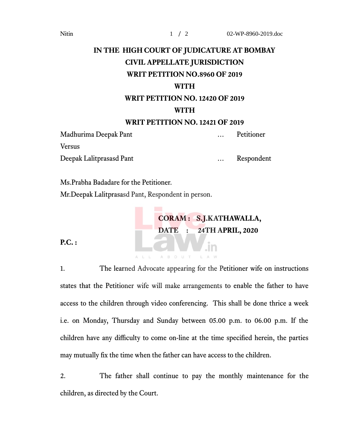## **IN THE HIGH COURT OF JUDICATURE AT BOMBAY CIVIL APPELLATE JURISDICTION WRIT PETITION NO.8960 OF 2019**

## **WITH**

## **WRIT PETITION NO. 12420 OF 2019 WITH**

## **WRIT PETITION NO. 12421 OF 2019**

Madhurima Deepak Pant … Petitioner Versus

Deepak Lalitprasasd Pant … Respondent

Ms.Prabha Badadare for the Petitioner. Mr.Deepak Lalitprasasd Pant, Respondent in person.

> **CORAM : S.J.KATHAWALLA, DATE : 24TH APRIL, 2020**

**P.C. :**

1. The learned Advocate appearing for the Petitioner wife on instructions states that the Petitioner wife will make arrangements to enable the father to have access to the children through video conferencing. This shall be done thrice a week i.e. on Monday, Thursday and Sunday between 05.00 p.m. to 06.00 p.m. If the children have any difficulty to come on-line at the time specified herein, the parties may mutually fx the time when the father can have access to the children.

AROHT

2. The father shall continue to pay the monthly maintenance for the children, as directed by the Court.